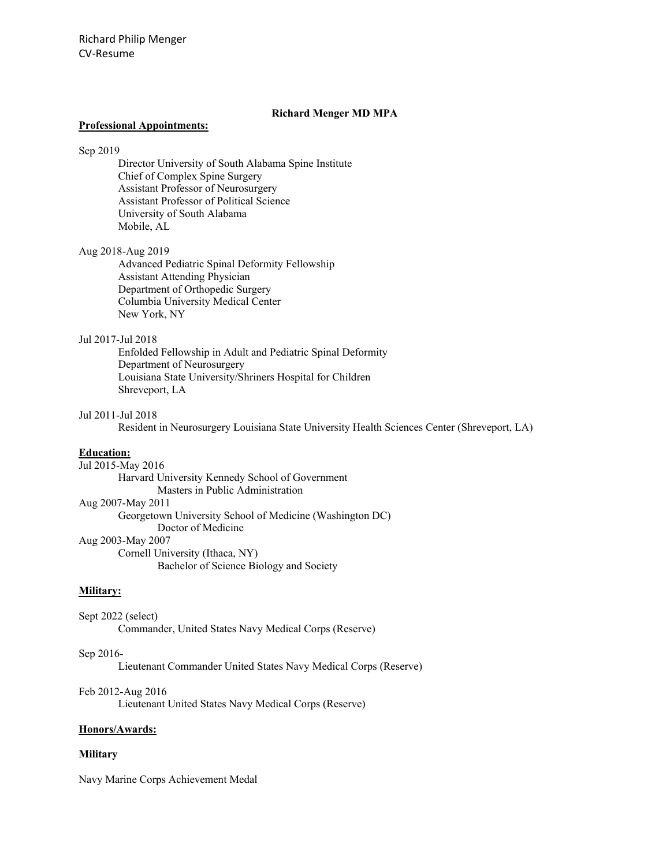### **Richard Menger MD MPA**

#### **Professional Appointments:**

### Sep 2019

Director University of South Alabama Spine Institute Chief of Complex Spine Surgery Assistant Professor of Neurosurgery Assistant Professor of Political Science University of South Alabama Mobile, AL

#### Aug 2018-Aug 2019

Advanced Pediatric Spinal Deformity Fellowship Assistant Attending Physician Department of Orthopedic Surgery Columbia University Medical Center New York, NY

### Jul 2017-Jul 2018

Enfolded Fellowship in Adult and Pediatric Spinal Deformity Department of Neurosurgery Louisiana State University/Shriners Hospital for Children Shreveport, LA

#### Jul 2011-Jul 2018

Resident in Neurosurgery Louisiana State University Health Sciences Center (Shreveport, LA)

#### **Education:**

Jul 2015-May 2016

Harvard University Kennedy School of Government Masters in Public Administration Aug 2007-May 2011 Georgetown University School of Medicine (Washington DC) Doctor of Medicine Aug 2003-May 2007 Cornell University (Ithaca, NY)

Bachelor of Science Biology and Society

#### **Military:**

Sept 2022 (select) Commander, United States Navy Medical Corps (Reserve)

#### Sep 2016-

Lieutenant Commander United States Navy Medical Corps (Reserve)

#### Feb 2012-Aug 2016

Lieutenant United States Navy Medical Corps (Reserve)

#### **Honors/Awards:**

#### **Military**

Navy Marine Corps Achievement Medal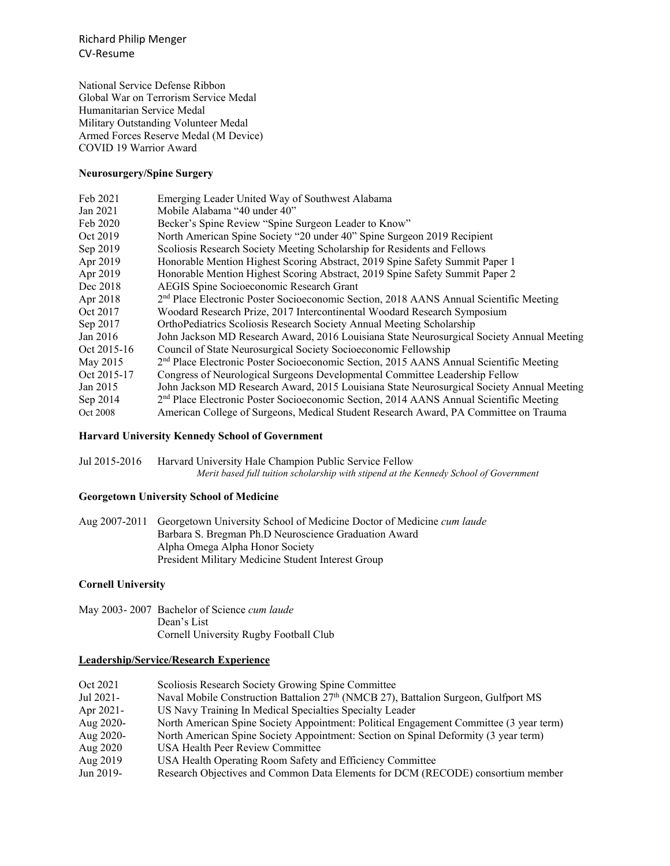Richard Philip Menger CV-Resume

National Service Defense Ribbon Global War on Terrorism Service Medal Humanitarian Service Medal Military Outstanding Volunteer Medal Armed Forces Reserve Medal (M Device) COVID 19 Warrior Award

### **Neurosurgery/Spine Surgery**

| Emerging Leader United Way of Southwest Alabama                                                    |
|----------------------------------------------------------------------------------------------------|
| Mobile Alabama "40 under 40"                                                                       |
| Becker's Spine Review "Spine Surgeon Leader to Know"                                               |
| North American Spine Society "20 under 40" Spine Surgeon 2019 Recipient                            |
| Scoliosis Research Society Meeting Scholarship for Residents and Fellows                           |
| Honorable Mention Highest Scoring Abstract, 2019 Spine Safety Summit Paper 1                       |
| Honorable Mention Highest Scoring Abstract, 2019 Spine Safety Summit Paper 2                       |
| AEGIS Spine Socioeconomic Research Grant                                                           |
| 2 <sup>nd</sup> Place Electronic Poster Socioeconomic Section, 2018 AANS Annual Scientific Meeting |
| Woodard Research Prize, 2017 Intercontinental Woodard Research Symposium                           |
| OrthoPediatrics Scoliosis Research Society Annual Meeting Scholarship                              |
| John Jackson MD Research Award, 2016 Louisiana State Neurosurgical Society Annual Meeting          |
| Council of State Neurosurgical Society Socioeconomic Fellowship                                    |
| 2 <sup>nd</sup> Place Electronic Poster Socioeconomic Section, 2015 AANS Annual Scientific Meeting |
| Congress of Neurological Surgeons Developmental Committee Leadership Fellow                        |
| John Jackson MD Research Award, 2015 Louisiana State Neurosurgical Society Annual Meeting          |
| 2 <sup>nd</sup> Place Electronic Poster Socioeconomic Section, 2014 AANS Annual Scientific Meeting |
| American College of Surgeons, Medical Student Research Award, PA Committee on Trauma               |
|                                                                                                    |

### **Harvard University Kennedy School of Government**

Jul 2015-2016 Harvard University Hale Champion Public Service Fellow *Merit based full tuition scholarship with stipend at the Kennedy School of Government*

### **Georgetown University School of Medicine**

Aug 2007-2011 Georgetown University School of Medicine Doctor of Medicine *cum laude* Barbara S. Bregman Ph.D Neuroscience Graduation Award Alpha Omega Alpha Honor Society President Military Medicine Student Interest Group

### **Cornell University**

May 2003- 2007 Bachelor of Science *cum laude* Dean's List Cornell University Rugby Football Club

#### **Leadership/Service/Research Experience**

| Oct 2021  | Scoliosis Research Society Growing Spine Committee                                             |
|-----------|------------------------------------------------------------------------------------------------|
| Jul 2021- | Naval Mobile Construction Battalion 27 <sup>th</sup> (NMCB 27), Battalion Surgeon, Gulfport MS |
| Apr 2021- | US Navy Training In Medical Specialties Specialty Leader                                       |
| Aug 2020- | North American Spine Society Appointment: Political Engagement Committee (3 year term)         |
| Aug 2020- | North American Spine Society Appointment: Section on Spinal Deformity (3 year term)            |
| Aug 2020  | USA Health Peer Review Committee                                                               |
| Aug 2019  | USA Health Operating Room Safety and Efficiency Committee                                      |
| Jun 2019- | Research Objectives and Common Data Elements for DCM (RECODE) consortium member                |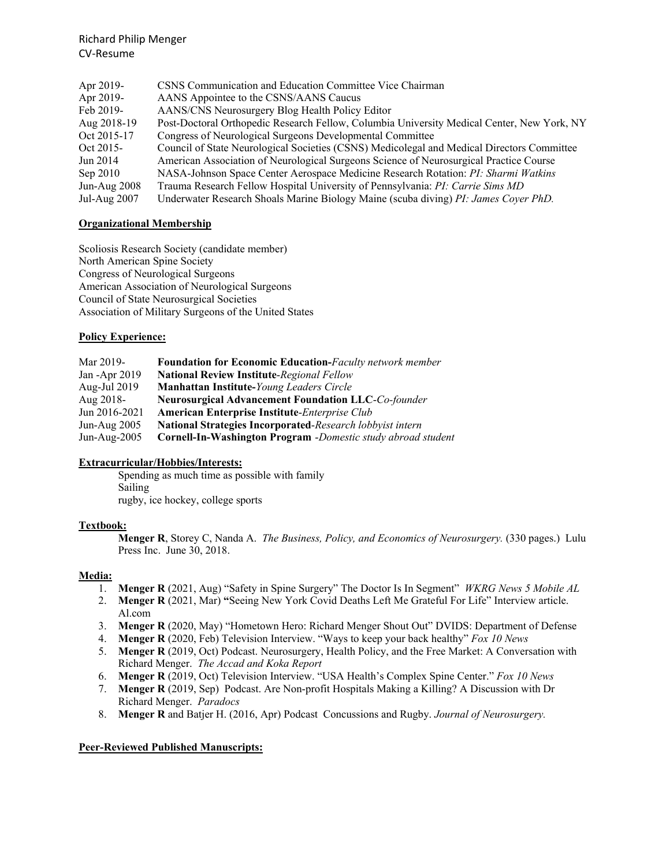| Apr 2019-      | CSNS Communication and Education Committee Vice Chairman                                   |
|----------------|--------------------------------------------------------------------------------------------|
| Apr 2019-      | AANS Appointee to the CSNS/AANS Caucus                                                     |
| Feb 2019-      | AANS/CNS Neurosurgery Blog Health Policy Editor                                            |
| Aug 2018-19    | Post-Doctoral Orthopedic Research Fellow, Columbia University Medical Center, New York, NY |
| Oct 2015-17    | Congress of Neurological Surgeons Developmental Committee                                  |
| Oct 2015-      | Council of State Neurological Societies (CSNS) Medicolegal and Medical Directors Committee |
| Jun 2014       | American Association of Neurological Surgeons Science of Neurosurgical Practice Course     |
| Sep 2010       | NASA-Johnson Space Center Aerospace Medicine Research Rotation: PI: Sharmi Watkins         |
| Jun-Aug $2008$ | Trauma Research Fellow Hospital University of Pennsylvania: PI: Carrie Sims MD             |
| Jul-Aug $2007$ | Underwater Research Shoals Marine Biology Maine (scuba diving) PI: James Coyer PhD.        |

# **Organizational Membership**

Scoliosis Research Society (candidate member) North American Spine Society Congress of Neurological Surgeons American Association of Neurological Surgeons Council of State Neurosurgical Societies Association of Military Surgeons of the United States

## **Policy Experience:**

| Mar 2019-         | <b>Foundation for Economic Education-Faculty network member</b>     |
|-------------------|---------------------------------------------------------------------|
| Jan - Apr 2019    | <b>National Review Institute-Regional Fellow</b>                    |
| Aug-Jul 2019      | Manhattan Institute-Young Leaders Circle                            |
| Aug 2018-         | <b>Neurosurgical Advancement Foundation LLC-Co-founder</b>          |
| Jun $2016 - 2021$ | <b>American Enterprise Institute-Enterprise Club</b>                |
| Jun-Aug $2005$    | <b>National Strategies Incorporated-Research lobbyist intern</b>    |
| Jun-Aug-2005      | <b>Cornell-In-Washington Program</b> -Domestic study abroad student |

## **Extracurricular/Hobbies/Interests:**

Spending as much time as possible with family Sailing rugby, ice hockey, college sports

## **Textbook:**

**Menger R**, Storey C, Nanda A. *The Business, Policy, and Economics of Neurosurgery.* (330 pages.)Lulu Press Inc. June 30, 2018.

## **Media:**

- 1. **Menger R** (2021, Aug) "Safety in Spine Surgery" The Doctor Is In Segment" *WKRG News 5 Mobile AL*
- 2. **Menger R** (2021, Mar) **"**Seeing New York Covid Deaths Left Me Grateful For Life" Interview article. Al.com
- 3. **Menger R** (2020, May) "Hometown Hero: Richard Menger Shout Out" DVIDS: Department of Defense
- 4. **Menger R** (2020, Feb) Television Interview. "Ways to keep your back healthy" *Fox 10 News*
- 5. **Menger R** (2019, Oct) Podcast. Neurosurgery, Health Policy, and the Free Market: A Conversation with Richard Menger. *The Accad and Koka Report*
- 6. **Menger R** (2019, Oct) Television Interview. "USA Health's Complex Spine Center." *Fox 10 News*
- 7. **Menger R** (2019, Sep) Podcast. Are Non-profit Hospitals Making a Killing? A Discussion with Dr Richard Menger. *Paradocs*
- 8. **Menger R** and Batjer H. (2016, Apr) Podcast Concussions and Rugby. *Journal of Neurosurgery.*

## **Peer-Reviewed Published Manuscripts:**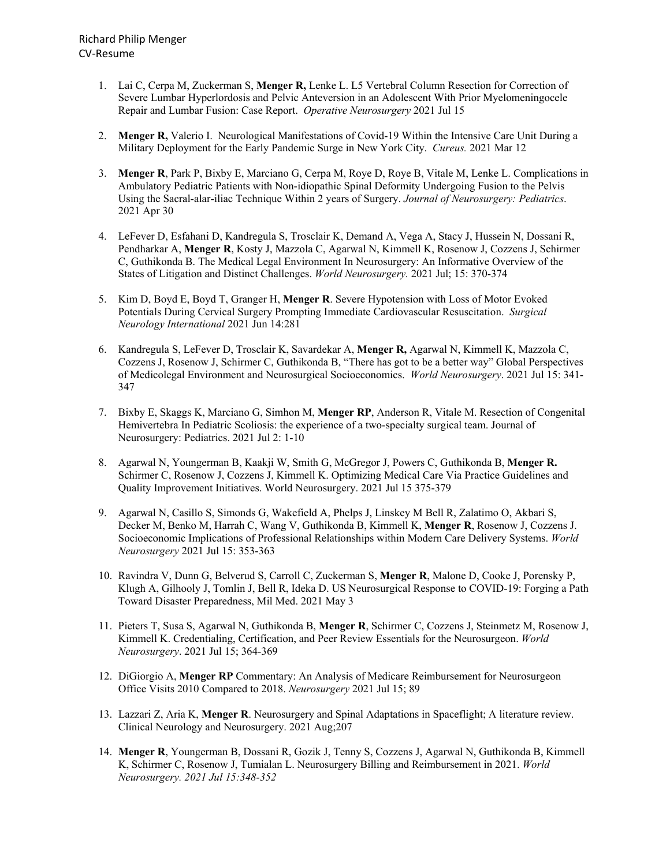- 1. Lai C, Cerpa M, Zuckerman S, **Menger R,** Lenke L. L5 Vertebral Column Resection for Correction of Severe Lumbar Hyperlordosis and Pelvic Anteversion in an Adolescent With Prior Myelomeningocele Repair and Lumbar Fusion: Case Report. *Operative Neurosurgery* 2021 Jul 15
- 2. **Menger R,** Valerio I. Neurological Manifestations of Covid-19 Within the Intensive Care Unit During a Military Deployment for the Early Pandemic Surge in New York City. *Cureus.* 2021 Mar 12
- 3. **Menger R**, Park P, Bixby E, Marciano G, Cerpa M, Roye D, Roye B, Vitale M, Lenke L. Complications in Ambulatory Pediatric Patients with Non-idiopathic Spinal Deformity Undergoing Fusion to the Pelvis Using the Sacral-alar-iliac Technique Within 2 years of Surgery. *Journal of Neurosurgery: Pediatrics*. 2021 Apr 30
- 4. LeFever D, Esfahani D, Kandregula S, Trosclair K, Demand A, Vega A, Stacy J, Hussein N, Dossani R, Pendharkar A, **Menger R**, Kosty J, Mazzola C, Agarwal N, Kimmell K, Rosenow J, Cozzens J, Schirmer C, Guthikonda B. The Medical Legal Environment In Neurosurgery: An Informative Overview of the States of Litigation and Distinct Challenges. *World Neurosurgery.* 2021 Jul; 15: 370-374
- 5. Kim D, Boyd E, Boyd T, Granger H, **Menger R**. Severe Hypotension with Loss of Motor Evoked Potentials During Cervical Surgery Prompting Immediate Cardiovascular Resuscitation. *Surgical Neurology International* 2021 Jun 14:281
- 6. Kandregula S, LeFever D, Trosclair K, Savardekar A, **Menger R,** Agarwal N, Kimmell K, Mazzola C, Cozzens J, Rosenow J, Schirmer C, Guthikonda B, "There has got to be a better way" Global Perspectives of Medicolegal Environment and Neurosurgical Socioeconomics. *World Neurosurgery*. 2021 Jul 15: 341- 347
- 7. Bixby E, Skaggs K, Marciano G, Simhon M, **Menger RP**, Anderson R, Vitale M. Resection of Congenital Hemivertebra In Pediatric Scoliosis: the experience of a two-specialty surgical team. Journal of Neurosurgery: Pediatrics. 2021 Jul 2: 1-10
- 8. Agarwal N, Youngerman B, Kaakji W, Smith G, McGregor J, Powers C, Guthikonda B, **Menger R.** Schirmer C, Rosenow J, Cozzens J, Kimmell K. Optimizing Medical Care Via Practice Guidelines and Quality Improvement Initiatives. World Neurosurgery. 2021 Jul 15 375-379
- 9. Agarwal N, Casillo S, Simonds G, Wakefield A, Phelps J, Linskey M Bell R, Zalatimo O, Akbari S, Decker M, Benko M, Harrah C, Wang V, Guthikonda B, Kimmell K, **Menger R**, Rosenow J, Cozzens J. Socioeconomic Implications of Professional Relationships within Modern Care Delivery Systems. *World Neurosurgery* 2021 Jul 15: 353-363
- 10. Ravindra V, Dunn G, Belverud S, Carroll C, Zuckerman S, **Menger R**, Malone D, Cooke J, Porensky P, Klugh A, Gilhooly J, Tomlin J, Bell R, Ideka D. US Neurosurgical Response to COVID-19: Forging a Path Toward Disaster Preparedness, Mil Med. 2021 May 3
- 11. Pieters T, Susa S, Agarwal N, Guthikonda B, **Menger R**, Schirmer C, Cozzens J, Steinmetz M, Rosenow J, Kimmell K. Credentialing, Certification, and Peer Review Essentials for the Neurosurgeon. *World Neurosurgery*. 2021 Jul 15; 364-369
- 12. DiGiorgio A, **Menger RP** Commentary: An Analysis of Medicare Reimbursement for Neurosurgeon Office Visits 2010 Compared to 2018. *Neurosurgery* 2021 Jul 15; 89
- 13. Lazzari Z, Aria K, **Menger R**. Neurosurgery and Spinal Adaptations in Spaceflight; A literature review. Clinical Neurology and Neurosurgery. 2021 Aug;207
- 14. **Menger R**, Youngerman B, Dossani R, Gozik J, Tenny S, Cozzens J, Agarwal N, Guthikonda B, Kimmell K, Schirmer C, Rosenow J, Tumialan L. Neurosurgery Billing and Reimbursement in 2021. *World Neurosurgery. 2021 Jul 15:348-352*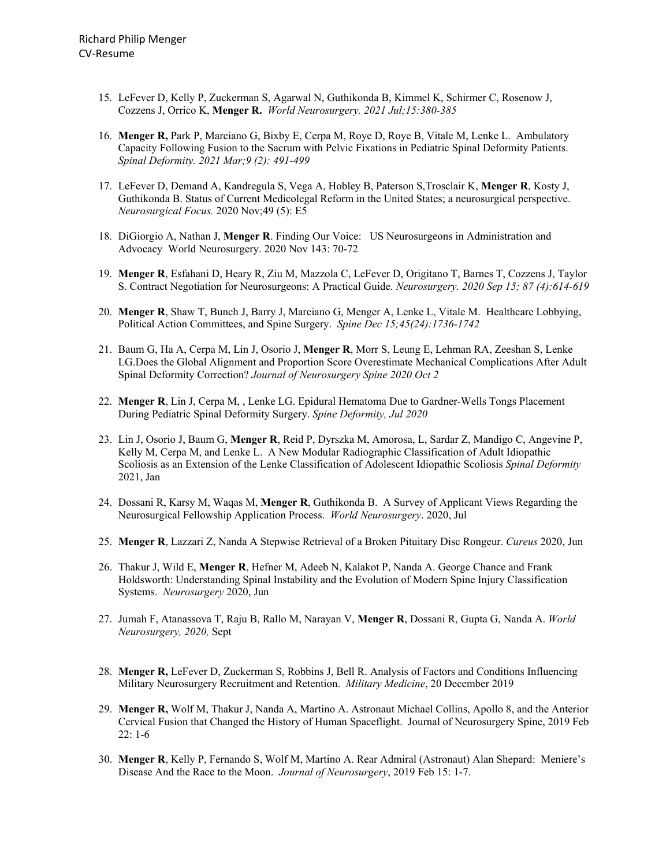- 15. LeFever D, Kelly P, Zuckerman S, Agarwal N, Guthikonda B, Kimmel K, Schirmer C, Rosenow J, Cozzens J, Orrico K, **Menger R.** *World Neurosurgery. 2021 Jul;15:380-385*
- 16. **Menger R,** Park P, Marciano G, Bixby E, Cerpa M, Roye D, Roye B, Vitale M, Lenke L. Ambulatory Capacity Following Fusion to the Sacrum with Pelvic Fixations in Pediatric Spinal Deformity Patients. *Spinal Deformity. 2021 Mar;9 (2): 491-499*
- 17. LeFever D, Demand A, Kandregula S, Vega A, Hobley B, Paterson S,Trosclair K, **Menger R**, Kosty J, Guthikonda B. Status of Current Medicolegal Reform in the United States; a neurosurgical perspective. *Neurosurgical Focus.* 2020 Nov;49 (5): E5
- 18. DiGiorgio A, Nathan J, **Menger R**. Finding Our Voice: US Neurosurgeons in Administration and Advocacy World Neurosurgery. 2020 Nov 143: 70-72
- 19. **Menger R**, Esfahani D, Heary R, Ziu M, Mazzola C, LeFever D, Origitano T, Barnes T, Cozzens J, Taylor S. Contract Negotiation for Neurosurgeons: A Practical Guide. *Neurosurgery. 2020 Sep 15; 87 (4):614-619*
- 20. **Menger R**, Shaw T, Bunch J, Barry J, Marciano G, Menger A, Lenke L, Vitale M. Healthcare Lobbying, Political Action Committees, and Spine Surgery. *Spine Dec 15;45(24):1736-1742*
- 21. Baum G, Ha A, Cerpa M, Lin J, Osorio J, **Menger R**, Morr S, Leung E, Lehman RA, Zeeshan S, Lenke LG.Does the Global Alignment and Proportion Score Overestimate Mechanical Complications After Adult Spinal Deformity Correction? *Journal of Neurosurgery Spine 2020 Oct 2*
- 22. **Menger R**, Lin J, Cerpa M, , Lenke LG. Epidural Hematoma Due to Gardner-Wells Tongs Placement During Pediatric Spinal Deformity Surgery. *Spine Deformity, Jul 2020*
- 23. Lin J, Osorio J, Baum G, **Menger R**, Reid P, Dyrszka M, Amorosa, L, Sardar Z, Mandigo C, Angevine P, Kelly M, Cerpa M, and Lenke L. A New Modular Radiographic Classification of Adult Idiopathic Scoliosis as an Extension of the Lenke Classification of Adolescent Idiopathic Scoliosis *Spinal Deformity* 2021, Jan
- 24. Dossani R, Karsy M, Waqas M, **Menger R**, Guthikonda B. A Survey of Applicant Views Regarding the Neurosurgical Fellowship Application Process. *World Neurosurgery*. 2020, Jul
- 25. **Menger R**, Lazzari Z, Nanda A Stepwise Retrieval of a Broken Pituitary Disc Rongeur. *Cureus* 2020, Jun
- 26. Thakur J, Wild E, **Menger R**, Hefner M, Adeeb N, Kalakot P, Nanda A. George Chance and Frank Holdsworth: Understanding Spinal Instability and the Evolution of Modern Spine Injury Classification Systems. *Neurosurgery* 2020, Jun
- 27. Jumah F, Atanassova T, Raju B, Rallo M, Narayan V, **Menger R**, Dossani R, Gupta G, Nanda A. *World Neurosurgery, 2020,* Sept
- 28. **Menger R,** LeFever D, Zuckerman S, Robbins J, Bell R. Analysis of Factors and Conditions Influencing Military Neurosurgery Recruitment and Retention. *Military Medicine*, 20 December 2019
- 29. **Menger R,** Wolf M, Thakur J, Nanda A, Martino A. Astronaut Michael Collins, Apollo 8, and the Anterior Cervical Fusion that Changed the History of Human Spaceflight. Journal of Neurosurgery Spine, 2019 Feb 22: 1-6
- 30. **Menger R**, Kelly P, Fernando S, Wolf M, Martino A. Rear Admiral (Astronaut) Alan Shepard: Meniere's Disease And the Race to the Moon. *Journal of Neurosurgery*, 2019 Feb 15: 1-7.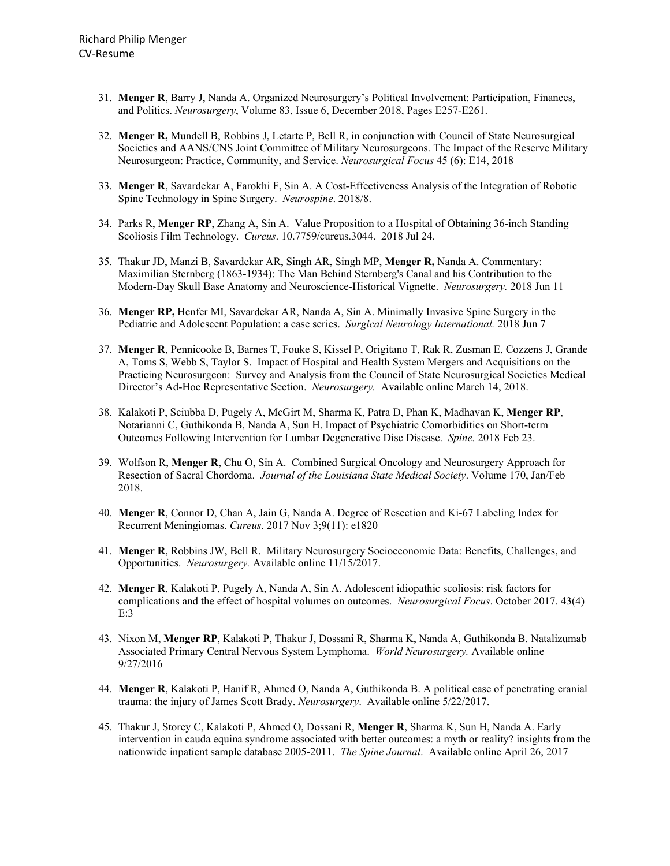- 31. **Menger R**, Barry J, Nanda A. Organized Neurosurgery's Political Involvement: Participation, Finances, and Politics. *Neurosurgery*, Volume 83, Issue 6, December 2018, Pages E257-E261.
- 32. **Menger R,** Mundell B, Robbins J, Letarte P, Bell R, in conjunction with Council of State Neurosurgical Societies and AANS/CNS Joint Committee of Military Neurosurgeons. The Impact of the Reserve Military Neurosurgeon: Practice, Community, and Service. *Neurosurgical Focus* 45 (6): E14, 2018
- 33. **Menger R**, Savardekar A, Farokhi F, Sin A. A Cost-Effectiveness Analysis of the Integration of Robotic Spine Technology in Spine Surgery. *Neurospine*. 2018/8.
- 34. Parks R, **Menger RP**, Zhang A, Sin A. Value Proposition to a Hospital of Obtaining 36-inch Standing Scoliosis Film Technology. *Cureus*. 10.7759/cureus.3044. 2018 Jul 24.
- 35. Thakur JD, Manzi B, Savardekar AR, Singh AR, Singh MP, **Menger R,** Nanda A. Commentary: Maximilian Sternberg (1863-1934): The Man Behind Sternberg's Canal and his Contribution to the Modern-Day Skull Base Anatomy and Neuroscience-Historical Vignette. *Neurosurgery.* 2018 Jun 11
- 36. **Menger RP,** Henfer MI, Savardekar AR, Nanda A, Sin A. Minimally Invasive Spine Surgery in the Pediatric and Adolescent Population: a case series. *Surgical Neurology International.* 2018 Jun 7
- 37. **Menger R**, Pennicooke B, Barnes T, Fouke S, Kissel P, Origitano T, Rak R, Zusman E, Cozzens J, Grande A, Toms S, Webb S, Taylor S. Impact of Hospital and Health System Mergers and Acquisitions on the Practicing Neurosurgeon: Survey and Analysis from the Council of State Neurosurgical Societies Medical Director's Ad-Hoc Representative Section. *Neurosurgery.* Available online March 14, 2018.
- 38. Kalakoti P, Sciubba D, Pugely A, McGirt M, Sharma K, Patra D, Phan K, Madhavan K, **Menger RP**, Notarianni C, Guthikonda B, Nanda A, Sun H. Impact of Psychiatric Comorbidities on Short-term Outcomes Following Intervention for Lumbar Degenerative Disc Disease. *Spine.* 2018 Feb 23.
- 39. Wolfson R, **Menger R**, Chu O, Sin A. Combined Surgical Oncology and Neurosurgery Approach for Resection of Sacral Chordoma. *Journal of the Louisiana State Medical Society*. Volume 170, Jan/Feb 2018.
- 40. **Menger R**, Connor D, Chan A, Jain G, Nanda A. Degree of Resection and Ki-67 Labeling Index for Recurrent Meningiomas. *Cureus*. 2017 Nov 3;9(11): e1820
- 41. **Menger R**, Robbins JW, Bell R. Military Neurosurgery Socioeconomic Data: Benefits, Challenges, and Opportunities. *Neurosurgery.* Available online 11/15/2017.
- 42. **Menger R**, Kalakoti P, Pugely A, Nanda A, Sin A. Adolescent idiopathic scoliosis: risk factors for complications and the effect of hospital volumes on outcomes. *Neurosurgical Focus*. October 2017. 43(4) E:3
- 43. Nixon M, **Menger RP**, Kalakoti P, Thakur J, Dossani R, Sharma K, Nanda A, Guthikonda B. Natalizumab Associated Primary Central Nervous System Lymphoma. *World Neurosurgery.* Available online 9/27/2016
- 44. **Menger R**, Kalakoti P, Hanif R, Ahmed O, Nanda A, Guthikonda B. A political case of penetrating cranial trauma: the injury of James Scott Brady. *Neurosurgery*. Available online 5/22/2017.
- 45. Thakur J, Storey C, Kalakoti P, Ahmed O, Dossani R, **Menger R**, Sharma K, Sun H, Nanda A. Early intervention in cauda equina syndrome associated with better outcomes: a myth or reality? insights from the nationwide inpatient sample database 2005-2011. *The Spine Journal*. Available online April 26, 2017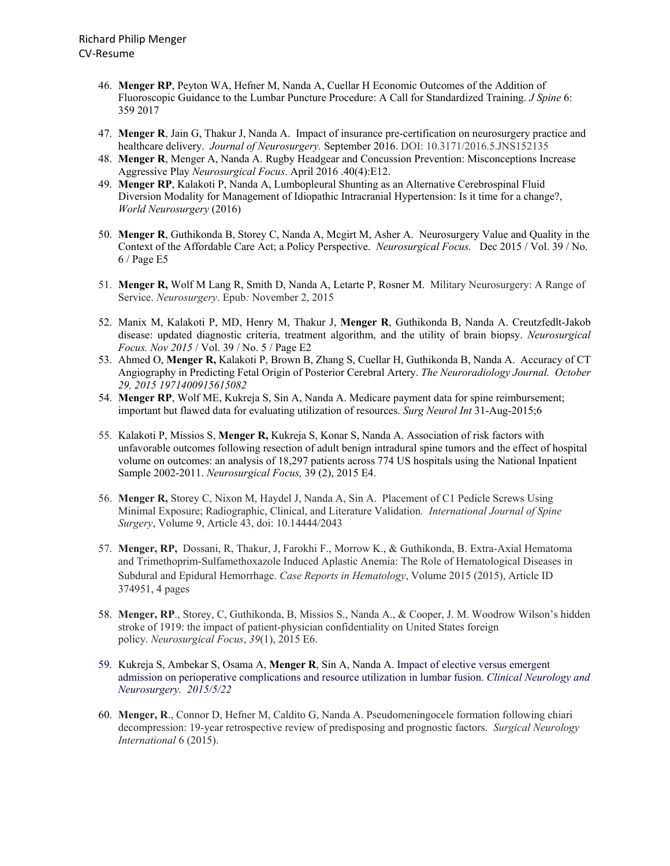- 46. **Menger RP**, Peyton WA, Hefner M, Nanda A, Cuellar H Economic Outcomes of the Addition of Fluoroscopic Guidance to the Lumbar Puncture Procedure: A Call for Standardized Training. *J Spine* 6: 359 2017
- 47. **Menger R**, Jain G, Thakur J, Nanda A. Impact of insurance pre-certification on neurosurgery practice and healthcare delivery. *Journal of Neurosurgery.* September 2016. DOI: 10.3171/2016.5.JNS152135
- 48. **Menger R**, Menger A, Nanda A. Rugby Headgear and Concussion Prevention: Misconceptions Increase Aggressive Play *Neurosurgical Focus*. April 2016 .40(4):E12.
- 49. **Menger RP**, Kalakoti P, Nanda A, Lumbopleural Shunting as an Alternative Cerebrospinal Fluid Diversion Modality for Management of Idiopathic Intracranial Hypertension: Is it time for a change?, *World Neurosurgery* (2016)
- 50. **Menger R**, Guthikonda B, Storey C, Nanda A, Mcgirt M, Asher A. Neurosurgery Value and Quality in the Context of the Affordable Care Act; a Policy Perspective. *Neurosurgical Focus.* Dec 2015 / Vol. 39 / No. 6 / Page E5
- 51. **Menger R,** Wolf M Lang R, Smith D, Nanda A, Letarte P, Rosner M. Military Neurosurgery: A Range of Service. *Neurosurgery*. Epub*:* November 2, 2015
- 52. Manix M, Kalakoti P, MD, Henry M, Thakur J, **Menger R**, Guthikonda B, Nanda A. Creutzfedlt-Jakob disease: updated diagnostic criteria, treatment algorithm, and the utility of brain biopsy. *Neurosurgical Focus. Nov 2015* / Vol. 39 / No. 5 / Page E2
- 53. Ahmed O, **Menger R,** Kalakoti P, Brown B, Zhang S, Cuellar H, Guthikonda B, Nanda A. Accuracy of CT Angiography in Predicting Fetal Origin of Posterior Cerebral Artery. *The Neuroradiology Journal. October 29, 2015 1971400915615082*
- 54. **Menger RP**, Wolf ME, Kukreja S, Sin A, Nanda A. Medicare payment data for spine reimbursement; important but flawed data for evaluating utilization of resources. *Surg Neurol Int* 31-Aug-2015;6
- 55. Kalakoti P, Missios S, **Menger R,** Kukreja S, Konar S, Nanda A. Association of risk factors with unfavorable outcomes following resection of adult benign intradural spine tumors and the effect of hospital volume on outcomes: an analysis of 18,297 patients across 774 US hospitals using the National Inpatient Sample 2002-2011. *Neurosurgical Focus,* 39 (2), 2015 E4.
- 56. **Menger R,** Storey C, Nixon M, Haydel J, Nanda A, Sin A. Placement of C1 Pedicle Screws Using Minimal Exposure; Radiographic, Clinical, and Literature Validation*. International Journal of Spine Surgery*, Volume 9, Article 43, doi: 10.14444/2043
- 57. **Menger, RP,** Dossani, R, Thakur, J, Farokhi F., Morrow K., & Guthikonda, B. Extra-Axial Hematoma and Trimethoprim-Sulfamethoxazole Induced Aplastic Anemia: The Role of Hematological Diseases in Subdural and Epidural Hemorrhage. *Case Reports in Hematology*, Volume 2015 (2015), Article ID 374951, 4 pages
- 58. **Menger, RP**., Storey, C, Guthikonda, B, Missios S., Nanda A., & Cooper, J. M. Woodrow Wilson's hidden stroke of 1919: the impact of patient-physician confidentiality on United States foreign policy. *Neurosurgical Focus*, *39*(1), 2015 E6.
- 59. Kukreja S, Ambekar S, Osama A, **Menger R**, Sin A, Nanda A. Impact of elective versus emergent admission on perioperative complications and resource utilization in lumbar fusion. *Clinical Neurology and Neurosurgery. 2015/5/22*
- 60. **Menger, R**., Connor D, Hefner M, Caldito G, Nanda A. Pseudomeningocele formation following chiari decompression: 19-year retrospective review of predisposing and prognostic factors. *Surgical Neurology International* 6 (2015).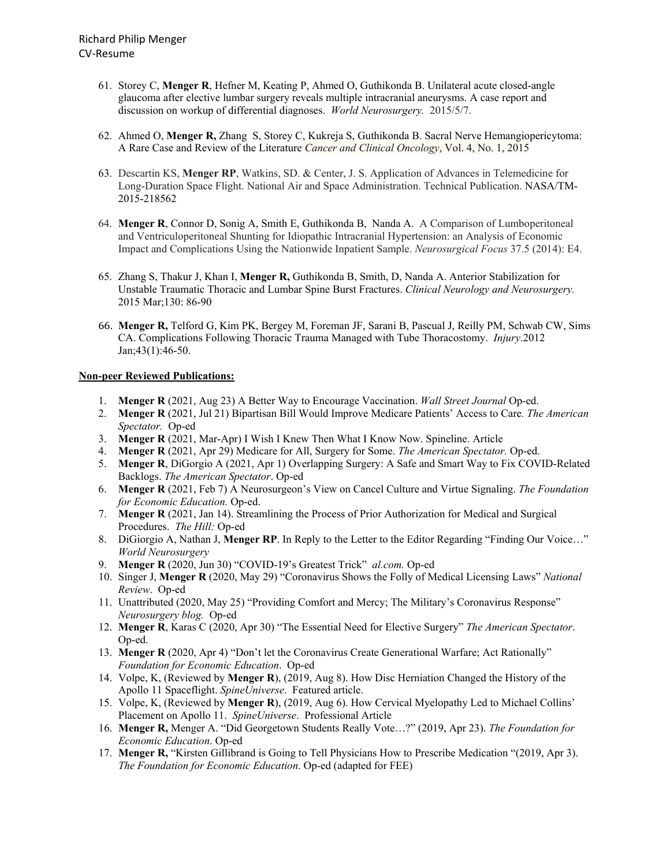- 61. Storey C, **Menger R**, Hefner M, Keating P, Ahmed O, Guthikonda B. Unilateral acute closed-angle glaucoma after elective lumbar surgery reveals multiple intracranial aneurysms. A case report and discussion on workup of differential diagnoses. *World Neurosurgery.* 2015/5/7.
- 62. Ahmed O, **Menger R,** Zhang S, Storey C, Kukreja S, Guthikonda B. Sacral Nerve Hemangiopericytoma: A Rare Case and Review of the Literature *Cancer and Clinical Oncology*, Vol. 4, No. 1, 2015
- 63. Descartin KS, **Menger RP**, Watkins, SD. & Center, J. S. Application of Advances in Telemedicine for Long-Duration Space Flight. National Air and Space Administration. Technical Publication. NASA/TM-2015-218562
- 64. **Menger R**, Connor D, Sonig A, Smith E, Guthikonda B, Nanda A. A Comparison of Lumboperitoneal and Ventriculoperitoneal Shunting for Idiopathic Intracranial Hypertension: an Analysis of Economic Impact and Complications Using the Nationwide Inpatient Sample. *Neurosurgical Focus* 37.5 (2014): E4.
- 65. Zhang S, Thakur J, Khan I, **Menger R,** Guthikonda B, Smith, D, Nanda A. Anterior Stabilization for Unstable Traumatic Thoracic and Lumbar Spine Burst Fractures. *Clinical Neurology and Neurosurgery.* 2015 Mar;130: 86-90
- 66. **Menger R,** Telford G, Kim PK, Bergey M, Foreman JF, Sarani B, Pascual J, Reilly PM, Schwab CW, Sims CA. Complications Following Thoracic Trauma Managed with Tube Thoracostomy. *Injury*.2012 Jan;43(1):46-50.

## **Non-peer Reviewed Publications:**

- 1. **Menger R** (2021, Aug 23) A Better Way to Encourage Vaccination. *Wall Street Journal* Op-ed.
- 2. **Menger R** (2021, Jul 21) Bipartisan Bill Would Improve Medicare Patients' Access to Care*. The American Spectator.* Op-ed
- 3. **Menger R** (2021, Mar-Apr) I Wish I Knew Then What I Know Now. Spineline. Article
- 4. **Menger R** (2021, Apr 29) Medicare for All, Surgery for Some. *The American Spectator.* Op-ed.
- 5. **Menger R**, DiGorgio A (2021, Apr 1) Overlapping Surgery: A Safe and Smart Way to Fix COVID-Related Backlogs. *The American Spectator*. Op-ed
- 6. **Menger R** (2021, Feb 7) A Neurosurgeon's View on Cancel Culture and Virtue Signaling. *The Foundation for Economic Education.* Op-ed.
- 7. **Menger R** (2021, Jan 14). Streamlining the Process of Prior Authorization for Medical and Surgical Procedures. *The Hill:* Op-ed
- 8. DiGiorgio A, Nathan J, **Menger RP**. In Reply to the Letter to the Editor Regarding "Finding Our Voice…" *World Neurosurgery*
- 9. **Menger R** (2020, Jun 30) "COVID-19's Greatest Trick" *al.com.* Op-ed
- 10. Singer J, **Menger R** (2020, May 29) "Coronavirus Shows the Folly of Medical Licensing Laws" *National Review*. Op-ed
- 11. Unattributed (2020, May 25) "Providing Comfort and Mercy; The Military's Coronavirus Response" *Neurosurgery blog.* Op-ed
- 12. **Menger R**, Karas C (2020, Apr 30) "The Essential Need for Elective Surgery" *The American Spectator*. Op-ed.
- 13. **Menger R** (2020, Apr 4) "Don't let the Coronavirus Create Generational Warfare; Act Rationally" *Foundation for Economic Education*. Op-ed
- 14. Volpe, K, (Reviewed by **Menger R**), (2019, Aug 8). How Disc Herniation Changed the History of the Apollo 11 Spaceflight. *SpineUniverse*. Featured article.
- 15. Volpe, K, (Reviewed by **Menger R**), (2019, Aug 6). How Cervical Myelopathy Led to Michael Collins' Placement on Apollo 11. *SpineUniverse*. Professional Article
- 16. **Menger R,** Menger A. "Did Georgetown Students Really Vote…?" (2019, Apr 23). *The Foundation for Economic Education*. Op-ed
- 17. **Menger R,** "Kirsten Gillibrand is Going to Tell Physicians How to Prescribe Medication "(2019, Apr 3). *The Foundation for Economic Education*. Op-ed (adapted for FEE)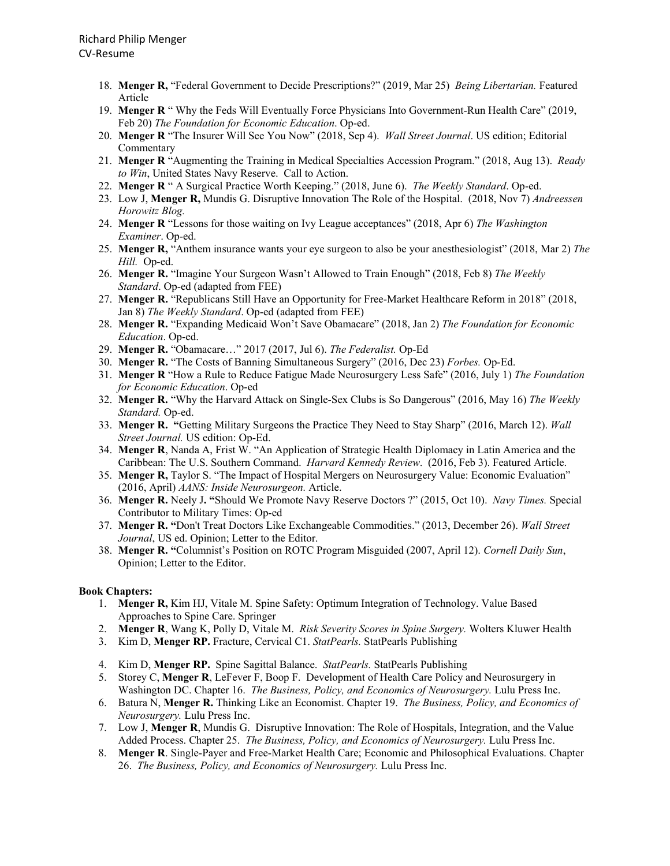- 18. **Menger R,** "Federal Government to Decide Prescriptions?" (2019, Mar 25) *Being Libertarian.* Featured Article
- 19. **Menger R** " Why the Feds Will Eventually Force Physicians Into Government-Run Health Care" (2019, Feb 20) *The Foundation for Economic Education*. Op-ed.
- 20. **Menger R** "The Insurer Will See You Now" (2018, Sep 4). *Wall Street Journal*. US edition; Editorial Commentary
- 21. **Menger R** "Augmenting the Training in Medical Specialties Accession Program." (2018, Aug 13). *Ready to Win*, United States Navy Reserve. Call to Action.
- 22. **Menger R** " A Surgical Practice Worth Keeping." (2018, June 6). *The Weekly Standard*. Op-ed.
- 23. Low J, **Menger R,** Mundis G. Disruptive Innovation The Role of the Hospital. (2018, Nov 7) *Andreessen Horowitz Blog.*
- 24. **Menger R** "Lessons for those waiting on Ivy League acceptances" (2018, Apr 6) *The Washington Examiner*. Op-ed.
- 25. **Menger R,** "Anthem insurance wants your eye surgeon to also be your anesthesiologist" (2018, Mar 2) *The Hill.* Op-ed.
- 26. **Menger R.** "Imagine Your Surgeon Wasn't Allowed to Train Enough" (2018, Feb 8) *The Weekly Standard*. Op-ed (adapted from FEE)
- 27. **Menger R.** "Republicans Still Have an Opportunity for Free-Market Healthcare Reform in 2018" (2018, Jan 8) *The Weekly Standard*. Op-ed (adapted from FEE)
- 28. **Menger R.** "Expanding Medicaid Won't Save Obamacare" (2018, Jan 2) *The Foundation for Economic Education*. Op-ed.
- 29. **Menger R.** "Obamacare…" 2017 (2017, Jul 6). *The Federalist.* Op-Ed
- 30. **Menger R.** "The Costs of Banning Simultaneous Surgery" (2016, Dec 23) *Forbes.* Op-Ed.
- 31. **Menger R** "How a Rule to Reduce Fatigue Made Neurosurgery Less Safe" (2016, July 1) *The Foundation for Economic Education*. Op-ed
- 32. **Menger R.** "Why the Harvard Attack on Single-Sex Clubs is So Dangerous" (2016, May 16) *The Weekly Standard.* Op-ed.
- 33. **Menger R. "**Getting Military Surgeons the Practice They Need to Stay Sharp" (2016, March 12). *Wall Street Journal.* US edition: Op-Ed.
- 34. **Menger R**, Nanda A, Frist W. "An Application of Strategic Health Diplomacy in Latin America and the Caribbean: The U.S. Southern Command. *Harvard Kennedy Review*. (2016, Feb 3). Featured Article.
- 35. **Menger R,** Taylor S. "The Impact of Hospital Mergers on Neurosurgery Value: Economic Evaluation" (2016, April) *AANS: Inside Neurosurgeon.* Article.
- 36. **Menger R.** Neely J**. "**Should We Promote Navy Reserve Doctors ?" (2015, Oct 10). *Navy Times.* Special Contributor to Military Times: Op-ed
- 37. **Menger R. "**Don't Treat Doctors Like Exchangeable Commodities." (2013, December 26). *Wall Street Journal*, US ed. Opinion; Letter to the Editor.
- 38. **Menger R. "**Columnist's Position on ROTC Program Misguided (2007, April 12). *Cornell Daily Sun*, Opinion; Letter to the Editor.

#### **Book Chapters:**

- 1. **Menger R,** Kim HJ, Vitale M. Spine Safety: Optimum Integration of Technology. Value Based Approaches to Spine Care. Springer
- 2. **Menger R**, Wang K, Polly D, Vitale M. *Risk Severity Scores in Spine Surgery.* Wolters Kluwer Health
- 3. Kim D, **Menger RP.** Fracture, Cervical C1. *StatPearls.* StatPearls Publishing
- 4. Kim D, **Menger RP.** Spine Sagittal Balance. *StatPearls.* StatPearls Publishing
- 5. Storey C, **Menger R**, LeFever F, Boop F. Development of Health Care Policy and Neurosurgery in Washington DC. Chapter 16. *The Business, Policy, and Economics of Neurosurgery.* Lulu Press Inc.
- 6. Batura N, **Menger R.** Thinking Like an Economist. Chapter 19. *The Business, Policy, and Economics of Neurosurgery.* Lulu Press Inc.
- 7. Low J, **Menger R**, Mundis G. Disruptive Innovation: The Role of Hospitals, Integration, and the Value Added Process. Chapter 25. *The Business, Policy, and Economics of Neurosurgery.* Lulu Press Inc.
- 8. **Menger R**. Single-Payer and Free-Market Health Care; Economic and Philosophical Evaluations. Chapter 26. *The Business, Policy, and Economics of Neurosurgery.* Lulu Press Inc.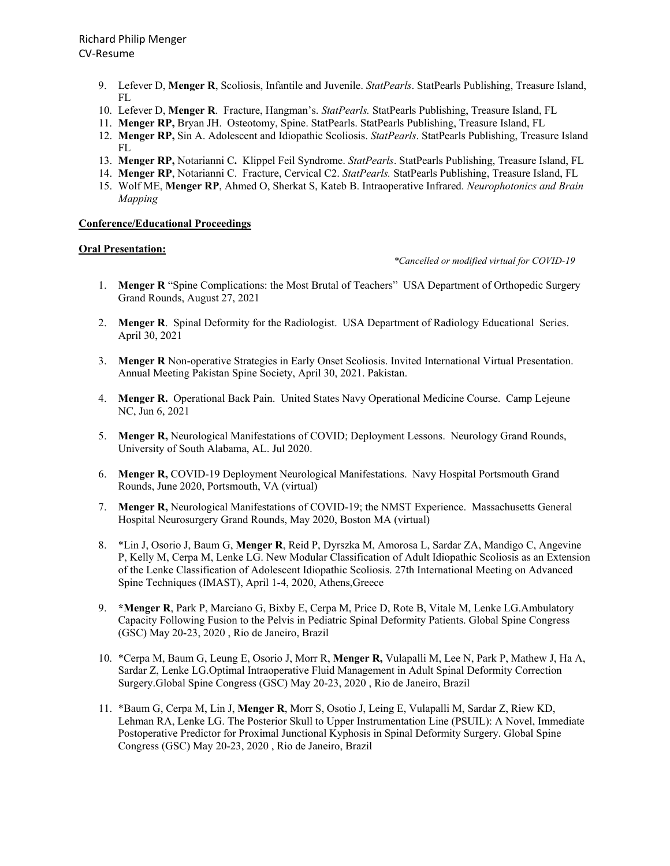- 9. Lefever D, **Menger R**, Scoliosis, Infantile and Juvenile. *StatPearls*. StatPearls Publishing, Treasure Island, FL
- 10. Lefever D, **Menger R**. Fracture, Hangman's. *StatPearls.* StatPearls Publishing, Treasure Island, FL
- 11. **Menger RP,** Bryan JH. Osteotomy, Spine. StatPearls. StatPearls Publishing, Treasure Island, FL
- 12. **Menger RP,** Sin A. Adolescent and Idiopathic Scoliosis. *StatPearls*. StatPearls Publishing, Treasure Island FL
- 13. **Menger RP,** Notarianni C**.** Klippel Feil Syndrome. *StatPearls*. StatPearls Publishing, Treasure Island, FL
- 14. **Menger RP**, Notarianni C. Fracture, Cervical C2. *StatPearls.* StatPearls Publishing, Treasure Island, FL
- 15. Wolf ME, **Menger RP**, Ahmed O, Sherkat S, Kateb B. Intraoperative Infrared. *Neurophotonics and Brain Mapping*

### **Conference/Educational Proceedings**

## **Oral Presentation:**

#### *\*Cancelled or modified virtual for COVID-19*

- 1. **Menger R** "Spine Complications: the Most Brutal of Teachers" USA Department of Orthopedic Surgery Grand Rounds, August 27, 2021
- 2. **Menger R**. Spinal Deformity for the Radiologist. USA Department of Radiology Educational Series. April 30, 2021
- 3. **Menger R** Non-operative Strategies in Early Onset Scoliosis. Invited International Virtual Presentation. Annual Meeting Pakistan Spine Society, April 30, 2021. Pakistan.
- 4. **Menger R.** Operational Back Pain. United States Navy Operational Medicine Course. Camp Lejeune NC, Jun 6, 2021
- 5. **Menger R,** Neurological Manifestations of COVID; Deployment Lessons. Neurology Grand Rounds, University of South Alabama, AL. Jul 2020.
- 6. **Menger R,** COVID-19 Deployment Neurological Manifestations. Navy Hospital Portsmouth Grand Rounds, June 2020, Portsmouth, VA (virtual)
- 7. **Menger R,** Neurological Manifestations of COVID-19; the NMST Experience. Massachusetts General Hospital Neurosurgery Grand Rounds, May 2020, Boston MA (virtual)
- 8. \*Lin J, Osorio J, Baum G, **Menger R**, Reid P, Dyrszka M, Amorosa L, Sardar ZA, Mandigo C, Angevine P, Kelly M, Cerpa M, Lenke LG. New Modular Classification of Adult Idiopathic Scoliosis as an Extension of the Lenke Classification of Adolescent Idiopathic Scoliosis. 27th International Meeting on Advanced Spine Techniques (IMAST), April 1-4, 2020, Athens,Greece
- 9. **\*Menger R**, Park P, Marciano G, Bixby E, Cerpa M, Price D, Rote B, Vitale M, Lenke LG.Ambulatory Capacity Following Fusion to the Pelvis in Pediatric Spinal Deformity Patients. Global Spine Congress (GSC) May 20-23, 2020 , Rio de Janeiro, Brazil
- 10. \*Cerpa M, Baum G, Leung E, Osorio J, Morr R, **Menger R,** Vulapalli M, Lee N, Park P, Mathew J, Ha A, Sardar Z, Lenke LG.Optimal Intraoperative Fluid Management in Adult Spinal Deformity Correction Surgery.Global Spine Congress (GSC) May 20-23, 2020 , Rio de Janeiro, Brazil
- 11. \*Baum G, Cerpa M, Lin J, **Menger R**, Morr S, Osotio J, Leing E, Vulapalli M, Sardar Z, Riew KD, Lehman RA, Lenke LG. The Posterior Skull to Upper Instrumentation Line (PSUIL): A Novel, Immediate Postoperative Predictor for Proximal Junctional Kyphosis in Spinal Deformity Surgery. Global Spine Congress (GSC) May 20-23, 2020 , Rio de Janeiro, Brazil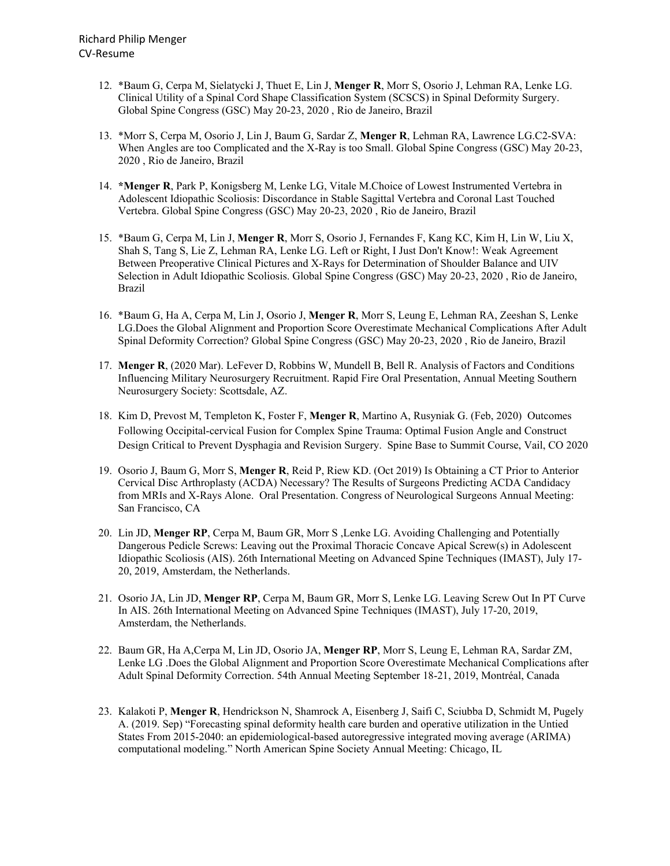- 12. \*Baum G, Cerpa M, Sielatycki J, Thuet E, Lin J, **Menger R**, Morr S, Osorio J, Lehman RA, Lenke LG. Clinical Utility of a Spinal Cord Shape Classification System (SCSCS) in Spinal Deformity Surgery. Global Spine Congress (GSC) May 20-23, 2020 , Rio de Janeiro, Brazil
- 13. \*Morr S, Cerpa M, Osorio J, Lin J, Baum G, Sardar Z, **Menger R**, Lehman RA, Lawrence LG.C2-SVA: When Angles are too Complicated and the X-Ray is too Small. Global Spine Congress (GSC) May 20-23, 2020 , Rio de Janeiro, Brazil
- 14. **\*Menger R**, Park P, Konigsberg M, Lenke LG, Vitale M.Choice of Lowest Instrumented Vertebra in Adolescent Idiopathic Scoliosis: Discordance in Stable Sagittal Vertebra and Coronal Last Touched Vertebra. Global Spine Congress (GSC) May 20-23, 2020 , Rio de Janeiro, Brazil
- 15. \*Baum G, Cerpa M, Lin J, **Menger R**, Morr S, Osorio J, Fernandes F, Kang KC, Kim H, Lin W, Liu X, Shah S, Tang S, Lie Z, Lehman RA, Lenke LG. Left or Right, I Just Don't Know!: Weak Agreement Between Preoperative Clinical Pictures and X-Rays for Determination of Shoulder Balance and UIV Selection in Adult Idiopathic Scoliosis. Global Spine Congress (GSC) May 20-23, 2020 , Rio de Janeiro, Brazil
- 16. \*Baum G, Ha A, Cerpa M, Lin J, Osorio J, **Menger R**, Morr S, Leung E, Lehman RA, Zeeshan S, Lenke LG.Does the Global Alignment and Proportion Score Overestimate Mechanical Complications After Adult Spinal Deformity Correction? Global Spine Congress (GSC) May 20-23, 2020 , Rio de Janeiro, Brazil
- 17. **Menger R**, (2020 Mar). LeFever D, Robbins W, Mundell B, Bell R. Analysis of Factors and Conditions Influencing Military Neurosurgery Recruitment. Rapid Fire Oral Presentation, Annual Meeting Southern Neurosurgery Society: Scottsdale, AZ.
- 18. Kim D, Prevost M, Templeton K, Foster F, **Menger R**, Martino A, Rusyniak G. (Feb, 2020) Outcomes Following Occipital-cervical Fusion for Complex Spine Trauma: Optimal Fusion Angle and Construct Design Critical to Prevent Dysphagia and Revision Surgery. Spine Base to Summit Course, Vail, CO 2020
- 19. Osorio J, Baum G, Morr S, **Menger R**, Reid P, Riew KD. (Oct 2019) Is Obtaining a CT Prior to Anterior Cervical Disc Arthroplasty (ACDA) Necessary? The Results of Surgeons Predicting ACDA Candidacy from MRIs and X-Rays Alone. Oral Presentation. Congress of Neurological Surgeons Annual Meeting: San Francisco, CA
- 20. Lin JD, **Menger RP**, Cerpa M, Baum GR, Morr S ,Lenke LG. Avoiding Challenging and Potentially Dangerous Pedicle Screws: Leaving out the Proximal Thoracic Concave Apical Screw(s) in Adolescent Idiopathic Scoliosis (AIS). 26th International Meeting on Advanced Spine Techniques (IMAST), July 17- 20, 2019, Amsterdam, the Netherlands.
- 21. Osorio JA, Lin JD, **Menger RP**, Cerpa M, Baum GR, Morr S, Lenke LG. Leaving Screw Out In PT Curve In AIS. 26th International Meeting on Advanced Spine Techniques (IMAST), July 17-20, 2019, Amsterdam, the Netherlands.
- 22. Baum GR, Ha A,Cerpa M, Lin JD, Osorio JA, **Menger RP**, Morr S, Leung E, Lehman RA, Sardar ZM, Lenke LG .Does the Global Alignment and Proportion Score Overestimate Mechanical Complications after Adult Spinal Deformity Correction. 54th Annual Meeting September 18-21, 2019, Montréal, Canada
- 23. Kalakoti P, **Menger R**, Hendrickson N, Shamrock A, Eisenberg J, Saifi C, Sciubba D, Schmidt M, Pugely A. (2019. Sep) "Forecasting spinal deformity health care burden and operative utilization in the Untied States From 2015-2040: an epidemiological-based autoregressive integrated moving average (ARIMA) computational modeling." North American Spine Society Annual Meeting: Chicago, IL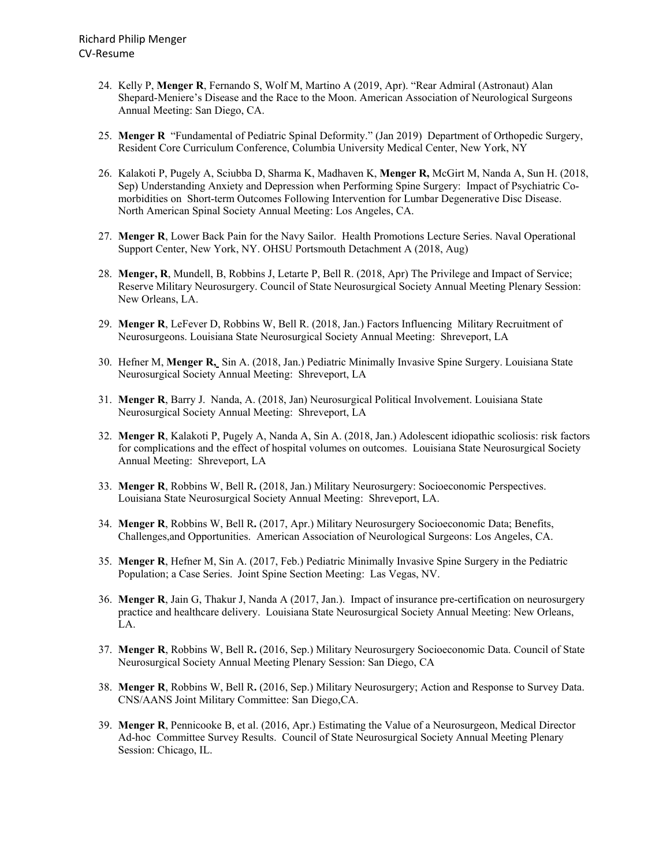- 24. Kelly P, **Menger R**, Fernando S, Wolf M, Martino A (2019, Apr). "Rear Admiral (Astronaut) Alan Shepard-Meniere's Disease and the Race to the Moon. American Association of Neurological Surgeons Annual Meeting: San Diego, CA.
- 25. **Menger R** "Fundamental of Pediatric Spinal Deformity." (Jan 2019) Department of Orthopedic Surgery, Resident Core Curriculum Conference, Columbia University Medical Center, New York, NY
- 26. Kalakoti P, Pugely A, Sciubba D, Sharma K, Madhaven K, **Menger R,** McGirt M, Nanda A, Sun H. (2018, Sep) Understanding Anxiety and Depression when Performing Spine Surgery: Impact of Psychiatric Comorbidities on Short-term Outcomes Following Intervention for Lumbar Degenerative Disc Disease. North American Spinal Society Annual Meeting: Los Angeles, CA.
- 27. **Menger R**, Lower Back Pain for the Navy Sailor. Health Promotions Lecture Series. Naval Operational Support Center, New York, NY. OHSU Portsmouth Detachment A (2018, Aug)
- 28. **Menger, R**, Mundell, B, Robbins J, Letarte P, Bell R. (2018, Apr) The Privilege and Impact of Service; Reserve Military Neurosurgery. Council of State Neurosurgical Society Annual Meeting Plenary Session: New Orleans, LA.
- 29. **Menger R**, LeFever D, Robbins W, Bell R. (2018, Jan.) Factors Influencing Military Recruitment of Neurosurgeons. Louisiana State Neurosurgical Society Annual Meeting: Shreveport, LA
- 30. Hefner M, **Menger R,** Sin A. (2018, Jan.) Pediatric Minimally Invasive Spine Surgery. Louisiana State Neurosurgical Society Annual Meeting: Shreveport, LA
- 31. **Menger R**, Barry J. Nanda, A. (2018, Jan) Neurosurgical Political Involvement. Louisiana State Neurosurgical Society Annual Meeting: Shreveport, LA
- 32. **Menger R**, Kalakoti P, Pugely A, Nanda A, Sin A. (2018, Jan.) Adolescent idiopathic scoliosis: risk factors for complications and the effect of hospital volumes on outcomes. Louisiana State Neurosurgical Society Annual Meeting: Shreveport, LA
- 33. **Menger R**, Robbins W, Bell R**.** (2018, Jan.) Military Neurosurgery: Socioeconomic Perspectives. Louisiana State Neurosurgical Society Annual Meeting: Shreveport, LA.
- 34. **Menger R**, Robbins W, Bell R**.** (2017, Apr.) Military Neurosurgery Socioeconomic Data; Benefits, Challenges,and Opportunities. American Association of Neurological Surgeons: Los Angeles, CA.
- 35. **Menger R**, Hefner M, Sin A. (2017, Feb.) Pediatric Minimally Invasive Spine Surgery in the Pediatric Population; a Case Series. Joint Spine Section Meeting: Las Vegas, NV.
- 36. **Menger R**, Jain G, Thakur J, Nanda A (2017, Jan.). Impact of insurance pre-certification on neurosurgery practice and healthcare delivery. Louisiana State Neurosurgical Society Annual Meeting: New Orleans, LA.
- 37. **Menger R**, Robbins W, Bell R**.** (2016, Sep.) Military Neurosurgery Socioeconomic Data. Council of State Neurosurgical Society Annual Meeting Plenary Session: San Diego, CA
- 38. **Menger R**, Robbins W, Bell R**.** (2016, Sep.) Military Neurosurgery; Action and Response to Survey Data. CNS/AANS Joint Military Committee: San Diego,CA.
- 39. **Menger R**, Pennicooke B, et al. (2016, Apr.) Estimating the Value of a Neurosurgeon, Medical Director Ad-hoc Committee Survey Results. Council of State Neurosurgical Society Annual Meeting Plenary Session: Chicago, IL.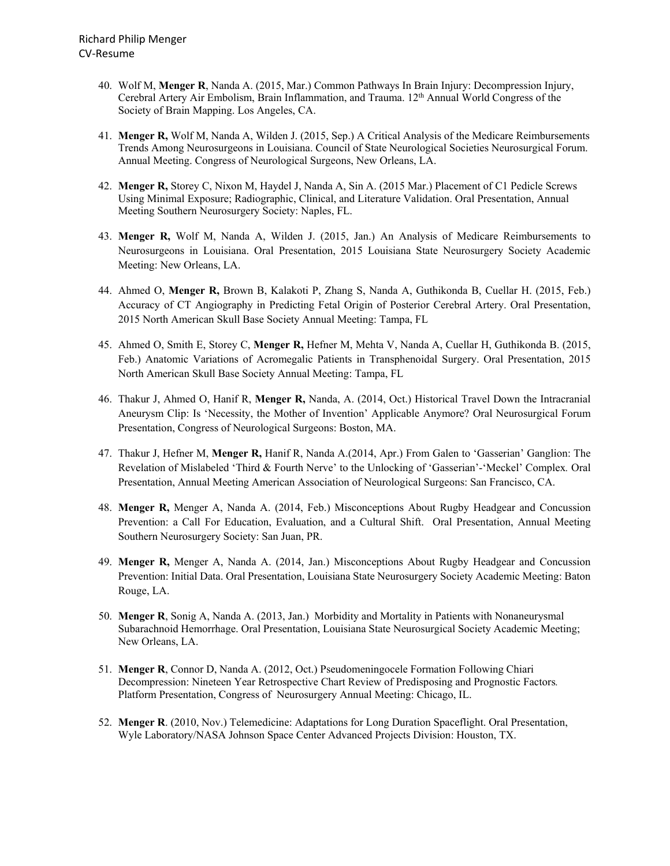- 40. Wolf M, **Menger R**, Nanda A. (2015, Mar.) Common Pathways In Brain Injury: Decompression Injury, Cerebral Artery Air Embolism, Brain Inflammation, and Trauma. 12th Annual World Congress of the Society of Brain Mapping. Los Angeles, CA.
- 41. **Menger R,** Wolf M, Nanda A, Wilden J. (2015, Sep.) A Critical Analysis of the Medicare Reimbursements Trends Among Neurosurgeons in Louisiana. Council of State Neurological Societies Neurosurgical Forum. Annual Meeting. Congress of Neurological Surgeons, New Orleans, LA.
- 42. **Menger R,** Storey C, Nixon M, Haydel J, Nanda A, Sin A. (2015 Mar.) Placement of C1 Pedicle Screws Using Minimal Exposure; Radiographic, Clinical, and Literature Validation. Oral Presentation, Annual Meeting Southern Neurosurgery Society: Naples, FL.
- 43. **Menger R,** Wolf M, Nanda A, Wilden J. (2015, Jan.) An Analysis of Medicare Reimbursements to Neurosurgeons in Louisiana. Oral Presentation, 2015 Louisiana State Neurosurgery Society Academic Meeting: New Orleans, LA.
- 44. Ahmed O, **Menger R,** Brown B, Kalakoti P, Zhang S, Nanda A, Guthikonda B, Cuellar H. (2015, Feb.) Accuracy of CT Angiography in Predicting Fetal Origin of Posterior Cerebral Artery. Oral Presentation, 2015 North American Skull Base Society Annual Meeting: Tampa, FL
- 45. Ahmed O, Smith E, Storey C, **Menger R,** Hefner M, Mehta V, Nanda A, Cuellar H, Guthikonda B. (2015, Feb.) Anatomic Variations of Acromegalic Patients in Transphenoidal Surgery. Oral Presentation, 2015 North American Skull Base Society Annual Meeting: Tampa, FL
- 46. Thakur J, Ahmed O, Hanif R, **Menger R,** Nanda, A. (2014, Oct.) Historical Travel Down the Intracranial Aneurysm Clip: Is 'Necessity, the Mother of Invention' Applicable Anymore? Oral Neurosurgical Forum Presentation, Congress of Neurological Surgeons: Boston, MA.
- 47. Thakur J, Hefner M, **Menger R,** Hanif R, Nanda A.(2014, Apr.) From Galen to 'Gasserian' Ganglion: The Revelation of Mislabeled 'Third & Fourth Nerve' to the Unlocking of 'Gasserian'-'Meckel' Complex*.* Oral Presentation, Annual Meeting American Association of Neurological Surgeons: San Francisco, CA.
- 48. **Menger R,** Menger A, Nanda A. (2014, Feb.) Misconceptions About Rugby Headgear and Concussion Prevention: a Call For Education, Evaluation, and a Cultural Shift. Oral Presentation, Annual Meeting Southern Neurosurgery Society: San Juan, PR.
- 49. **Menger R,** Menger A, Nanda A. (2014, Jan.) Misconceptions About Rugby Headgear and Concussion Prevention: Initial Data. Oral Presentation, Louisiana State Neurosurgery Society Academic Meeting: Baton Rouge, LA.
- 50. **Menger R**, Sonig A, Nanda A. (2013, Jan.)Morbidity and Mortality in Patients with Nonaneurysmal Subarachnoid Hemorrhage. Oral Presentation, Louisiana State Neurosurgical Society Academic Meeting; New Orleans, LA.
- 51. **Menger R**, Connor D, Nanda A. (2012, Oct.) Pseudomeningocele Formation Following Chiari Decompression: Nineteen Year Retrospective Chart Review of Predisposing and Prognostic Factors*.*  Platform Presentation, Congress of Neurosurgery Annual Meeting: Chicago, IL.
- 52. **Menger R**. (2010, Nov.) Telemedicine: Adaptations for Long Duration Spaceflight. Oral Presentation, Wyle Laboratory/NASA Johnson Space Center Advanced Projects Division: Houston, TX.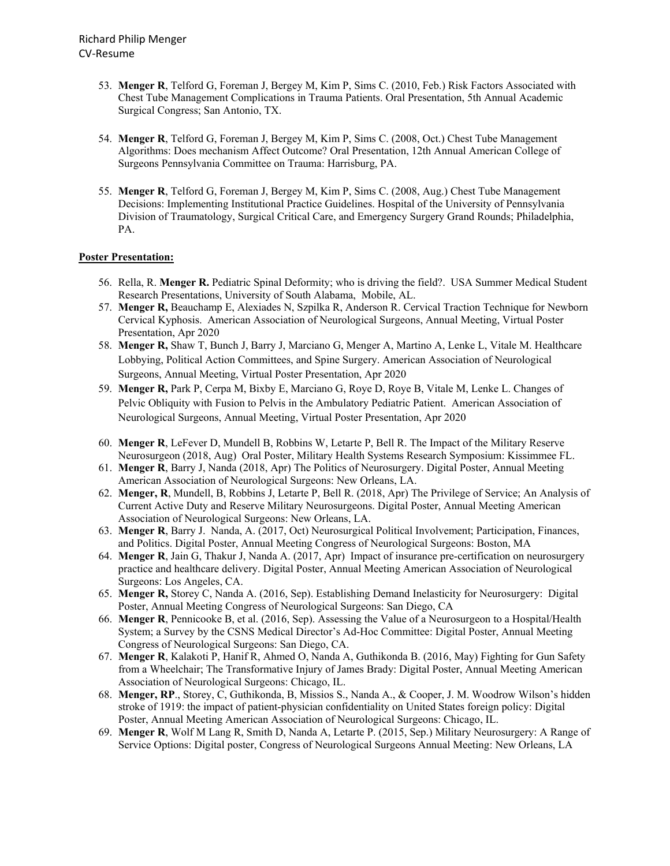- 53. **Menger R**, Telford G, Foreman J, Bergey M, Kim P, Sims C. (2010, Feb.) Risk Factors Associated with Chest Tube Management Complications in Trauma Patients. Oral Presentation, 5th Annual Academic Surgical Congress; San Antonio, TX.
- 54. **Menger R**, Telford G, Foreman J, Bergey M, Kim P, Sims C. (2008, Oct.) Chest Tube Management Algorithms: Does mechanism Affect Outcome? Oral Presentation, 12th Annual American College of Surgeons Pennsylvania Committee on Trauma: Harrisburg, PA.
- 55. **Menger R**, Telford G, Foreman J, Bergey M, Kim P, Sims C. (2008, Aug.) Chest Tube Management Decisions: Implementing Institutional Practice Guidelines. Hospital of the University of Pennsylvania Division of Traumatology, Surgical Critical Care, and Emergency Surgery Grand Rounds; Philadelphia, PA.

## **Poster Presentation:**

- 56. Rella, R. **Menger R.** Pediatric Spinal Deformity; who is driving the field?. USA Summer Medical Student Research Presentations, University of South Alabama, Mobile, AL.
- 57. **Menger R,** Beauchamp E, Alexiades N, Szpilka R, Anderson R. Cervical Traction Technique for Newborn Cervical Kyphosis. American Association of Neurological Surgeons, Annual Meeting, Virtual Poster Presentation, Apr 2020
- 58. **Menger R,** Shaw T, Bunch J, Barry J, Marciano G, Menger A, Martino A, Lenke L, Vitale M. Healthcare Lobbying, Political Action Committees, and Spine Surgery. American Association of Neurological Surgeons, Annual Meeting, Virtual Poster Presentation, Apr 2020
- 59. **Menger R,** Park P, Cerpa M, Bixby E, Marciano G, Roye D, Roye B, Vitale M, Lenke L. Changes of Pelvic Obliquity with Fusion to Pelvis in the Ambulatory Pediatric Patient. American Association of Neurological Surgeons, Annual Meeting, Virtual Poster Presentation, Apr 2020
- 60. **Menger R**, LeFever D, Mundell B, Robbins W, Letarte P, Bell R. The Impact of the Military Reserve Neurosurgeon (2018, Aug) Oral Poster, Military Health Systems Research Symposium: Kissimmee FL.
- 61. **Menger R**, Barry J, Nanda (2018, Apr) The Politics of Neurosurgery. Digital Poster, Annual Meeting American Association of Neurological Surgeons: New Orleans, LA.
- 62. **Menger, R**, Mundell, B, Robbins J, Letarte P, Bell R. (2018, Apr) The Privilege of Service; An Analysis of Current Active Duty and Reserve Military Neurosurgeons. Digital Poster, Annual Meeting American Association of Neurological Surgeons: New Orleans, LA.
- 63. **Menger R**, Barry J. Nanda, A. (2017, Oct) Neurosurgical Political Involvement; Participation, Finances, and Politics. Digital Poster, Annual Meeting Congress of Neurological Surgeons: Boston, MA
- 64. **Menger R**, Jain G, Thakur J, Nanda A. (2017, Apr) Impact of insurance pre-certification on neurosurgery practice and healthcare delivery. Digital Poster, Annual Meeting American Association of Neurological Surgeons: Los Angeles, CA.
- 65. **Menger R,** Storey C, Nanda A. (2016, Sep). Establishing Demand Inelasticity for Neurosurgery: Digital Poster, Annual Meeting Congress of Neurological Surgeons: San Diego, CA
- 66. **Menger R**, Pennicooke B, et al. (2016, Sep). Assessing the Value of a Neurosurgeon to a Hospital/Health System; a Survey by the CSNS Medical Director's Ad-Hoc Committee: Digital Poster, Annual Meeting Congress of Neurological Surgeons: San Diego, CA.
- 67. **Menger R**, Kalakoti P, Hanif R, Ahmed O, Nanda A, Guthikonda B. (2016, May) Fighting for Gun Safety from a Wheelchair; The Transformative Injury of James Brady: Digital Poster, Annual Meeting American Association of Neurological Surgeons: Chicago, IL.
- 68. **Menger, RP**., Storey, C, Guthikonda, B, Missios S., Nanda A., & Cooper, J. M. Woodrow Wilson's hidden stroke of 1919: the impact of patient-physician confidentiality on United States foreign policy: Digital Poster, Annual Meeting American Association of Neurological Surgeons: Chicago, IL.
- 69. **Menger R**, Wolf M Lang R, Smith D, Nanda A, Letarte P. (2015, Sep.) Military Neurosurgery: A Range of Service Options: Digital poster, Congress of Neurological Surgeons Annual Meeting: New Orleans, LA